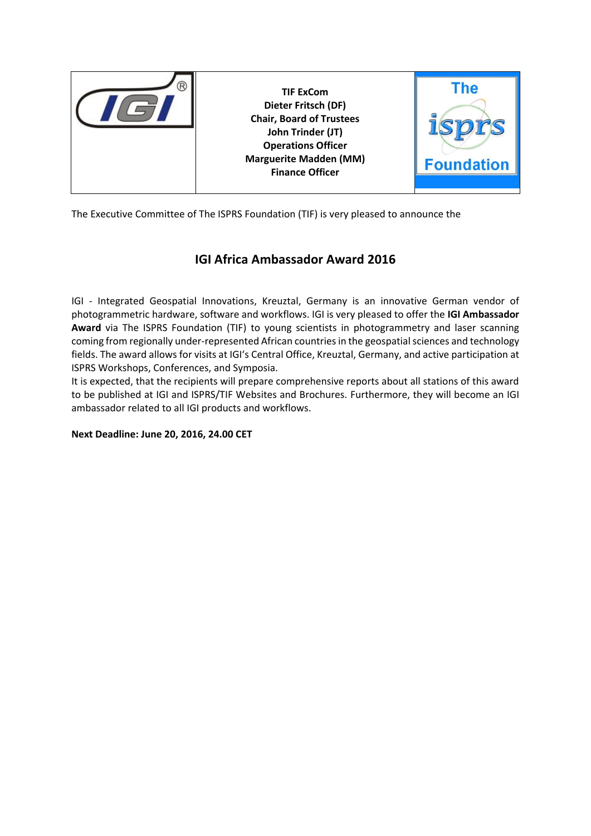

The Executive Committee of The ISPRS Foundation (TIF) is very pleased to announce the

## **IGI Africa Ambassador Award 2016**

IGI - Integrated Geospatial Innovations, Kreuztal, Germany is an innovative German vendor of photogrammetric hardware, software and workflows. IGI is very pleased to offer the **IGI Ambassador Award** via The ISPRS Foundation (TIF) to young scientists in photogrammetry and laser scanning coming from regionally under-represented African countriesin the geospatial sciences and technology fields. The award allows for visits at IGI's Central Office, Kreuztal, Germany, and active participation at ISPRS Workshops, Conferences, and Symposia.

It is expected, that the recipients will prepare comprehensive reports about all stations of this award to be published at IGI and ISPRS/TIF Websites and Brochures. Furthermore, they will become an IGI ambassador related to all IGI products and workflows.

**Next Deadline: June 20, 2016, 24.00 CET**